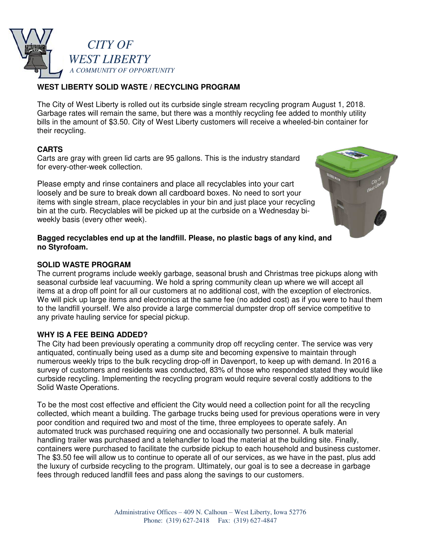

# **WEST LIBERTY SOLID WASTE / RECYCLING PROGRAM**

The City of West Liberty is rolled out its curbside single stream recycling program August 1, 2018. Garbage rates will remain the same, but there was a monthly recycling fee added to monthly utility bills in the amount of \$3.50. City of West Liberty customers will receive a wheeled-bin container for their recycling.

#### **CARTS**

Carts are gray with green lid carts are 95 gallons. This is the industry standard for every-other-week collection.

Please empty and rinse containers and place all recyclables into your cart loosely and be sure to break down all cardboard boxes. No need to sort your items with single stream, place recyclables in your bin and just place your recycling bin at the curb. Recyclables will be picked up at the curbside on a Wednesday biweekly basis (every other week).

#### **Bagged recyclables end up at the landfill. Please, no plastic bags of any kind, and no Styrofoam.**

#### **SOLID WASTE PROGRAM**

The current programs include weekly garbage, seasonal brush and Christmas tree pickups along with seasonal curbside leaf vacuuming. We hold a spring community clean up where we will accept all items at a drop off point for all our customers at no additional cost, with the exception of electronics. We will pick up large items and electronics at the same fee (no added cost) as if you were to haul them to the landfill yourself. We also provide a large commercial dumpster drop off service competitive to any private hauling service for special pickup.

#### **WHY IS A FEE BEING ADDED?**

The City had been previously operating a community drop off recycling center. The service was very antiquated, continually being used as a dump site and becoming expensive to maintain through numerous weekly trips to the bulk recycling drop-off in Davenport, to keep up with demand. In 2016 a survey of customers and residents was conducted, 83% of those who responded stated they would like curbside recycling. Implementing the recycling program would require several costly additions to the Solid Waste Operations.

To be the most cost effective and efficient the City would need a collection point for all the recycling collected, which meant a building. The garbage trucks being used for previous operations were in very poor condition and required two and most of the time, three employees to operate safely. An automated truck was purchased requiring one and occasionally two personnel. A bulk material handling trailer was purchased and a telehandler to load the material at the building site. Finally, containers were purchased to facilitate the curbside pickup to each household and business customer. The \$3.50 fee will allow us to continue to operate all of our services, as we have in the past, plus add the luxury of curbside recycling to the program. Ultimately, our goal is to see a decrease in garbage fees through reduced landfill fees and pass along the savings to our customers.

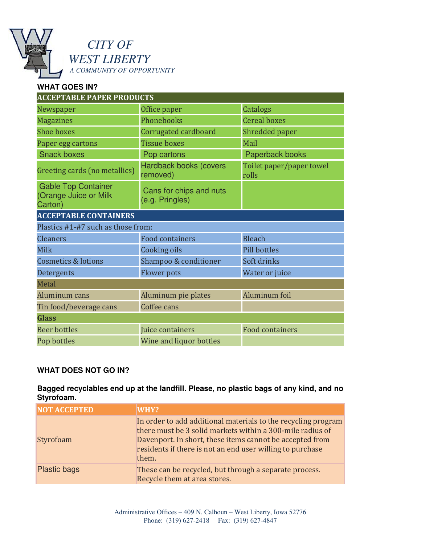

# *CITY OF WEST LIBERTY A COMMUNITY OF OPPORTUNITY*

### **WHAT GOES IN? ACCEPTABLE PAPER PRODUCTS** Newspaper **Catalogs Office paper** Catalogs **Catalogs Magazines Phonebooks Cereal boxes** Shoe boxes **Corrugated cardboard** Shredded paper Paper egg cartons Tissue boxes Mail Snack boxes **Pop cartons** Proposed Paperback books Greeting cards (no metallics) Hardback books (covers removed) Toilet paper/paper towel rolls Gable Top Container (Orange Juice or Milk Carton) Cans for chips and nuts (e.g. Pringles) **ACCEPTABLE CONTAINERS** Plastics #1-#7 such as those from: **Cleaners Exercise Exercise Exercise Exercise Exercise Exercise Exercise Exercise Exercise Exercise Exercise Exercise Exercise Exercise Exercise Exercise Exercise Exercise Exercise Exercise Exercise Exercise Exercise Exe** Milk Cooking oils Pill bottles Cosmetics & lotions Shampoo & conditioner Soft drinks **Detergents** Flower pots Water or juice Metal Aluminum cans Aluminum pie plates Aluminum foil Tin food/beverage cans Coffee cans **Glass** Beer bottles Juice containers Food containers Pop bottles **Wine and liquor bottles**

# **WHAT DOES NOT GO IN?**

# **Bagged recyclables end up at the landfill. Please, no plastic bags of any kind, and no Styrofoam.**

| <b>NOT ACCEPTED</b> | WHY?                                                                                                                                                                                                                                                         |
|---------------------|--------------------------------------------------------------------------------------------------------------------------------------------------------------------------------------------------------------------------------------------------------------|
| Styrofoam           | In order to add additional materials to the recycling program<br>there must be 3 solid markets within a 300-mile radius of<br>Davenport. In short, these items cannot be accepted from<br>residents if there is not an end user willing to purchase<br>them. |
| <b>Plastic bags</b> | These can be recycled, but through a separate process.<br>Recycle them at area stores.                                                                                                                                                                       |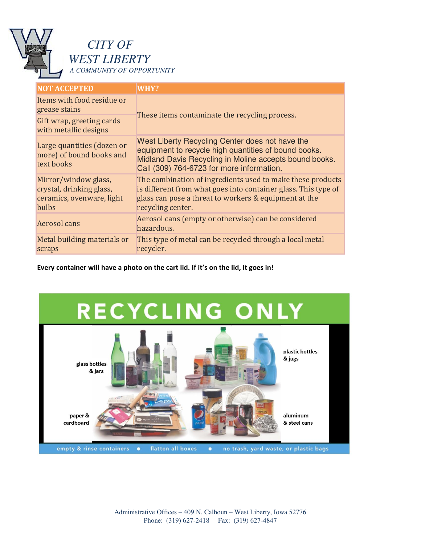

# *CITY OF WEST LIBERTY*

*A COMMUNITY OF OPPORTUNITY* 

| <b>NOT ACCEPTED</b>                                                                    | WHY?                                                                                                                                                                                                           |
|----------------------------------------------------------------------------------------|----------------------------------------------------------------------------------------------------------------------------------------------------------------------------------------------------------------|
| Items with food residue or<br>grease stains                                            | These items contaminate the recycling process.                                                                                                                                                                 |
| Gift wrap, greeting cards<br>with metallic designs                                     |                                                                                                                                                                                                                |
| Large quantities (dozen or<br>more) of bound books and<br>text books                   | West Liberty Recycling Center does not have the<br>equipment to recycle high quantities of bound books.<br>Midland Davis Recycling in Moline accepts bound books.<br>Call (309) 764-6723 for more information. |
| Mirror/window glass,<br>crystal, drinking glass,<br>ceramics, ovenware, light<br>bulbs | The combination of ingredients used to make these products<br>is different from what goes into container glass. This type of<br>glass can pose a threat to workers & equipment at the<br>recycling center.     |
| Aerosol cans                                                                           | Aerosol cans (empty or otherwise) can be considered<br>hazardous.                                                                                                                                              |
| Metal building materials or<br>scraps                                                  | This type of metal can be recycled through a local metal<br>recycler.                                                                                                                                          |

**Every container will have a photo on the cart lid. If it's on the lid, it goes in!**